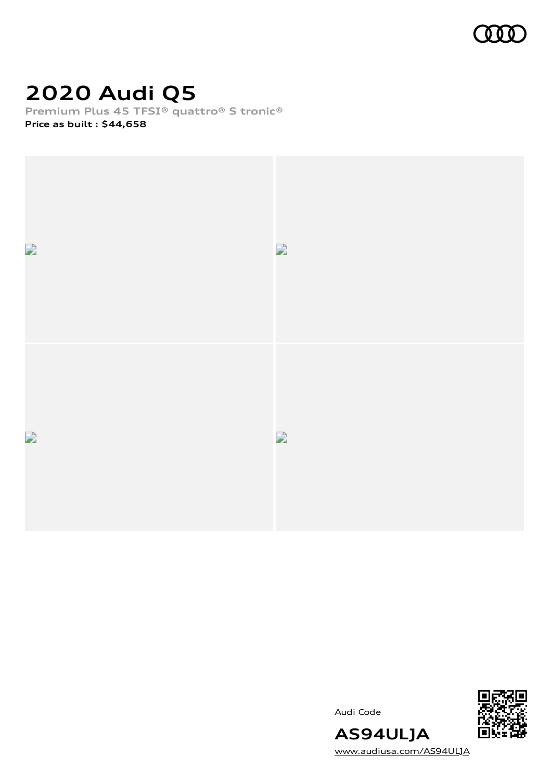

# **2020 Audi Q5**

**Premium Plus 45 TFSI® quattro® S tronic®**

**Price as built [:](#page-8-0) \$44,658**



Audi Code



[www.audiusa.com/AS94ULJA](https://www.audiusa.com/AS94ULJA)

**AS94ULJA**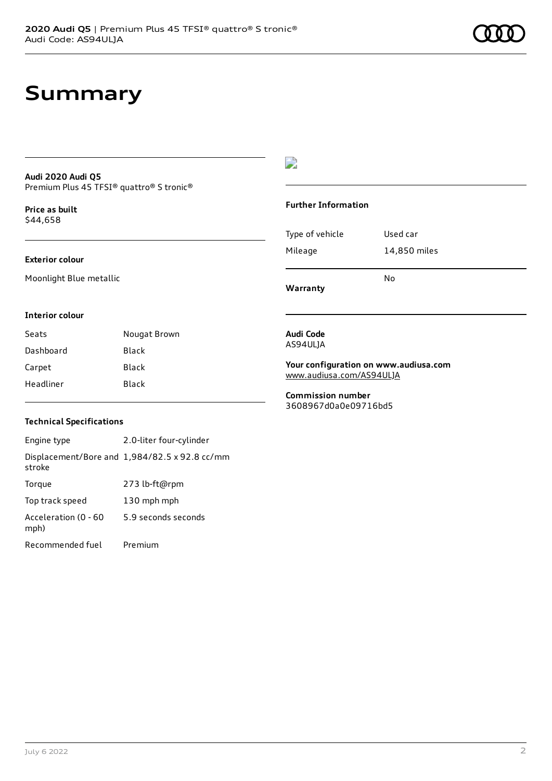### **Summary**

#### **Audi 2020 Audi Q5** Premium Plus 45 TFSI® quattro® S tronic®

**Price as buil[t](#page-8-0)** \$44,658

#### **Exterior colour**

Moonlight Blue metallic

### D

#### **Further Information**

Type of vehicle Used car Mileage 14,850 miles

**Warranty**

#### **Interior colour**

Seats **Nougat Brown** Dashboard Black Carpet Black Headliner Black

#### **Audi Code** AS94ULJA

**Your configuration on www.audiusa.com** [www.audiusa.com/AS94ULJA](https://www.audiusa.com/AS94ULJA)

No

**Commission number** 3608967d0a0e09716bd5

#### **Technical Specifications**

Engine type 2.0-liter four-cylinder Displacement/Bore and 1,984/82.5 x 92.8 cc/mm stroke Torque 273 lb-ft@rpm Top track speed 130 mph mph Acceleration (0 - 60 mph) 5.9 seconds seconds Recommended fuel Premium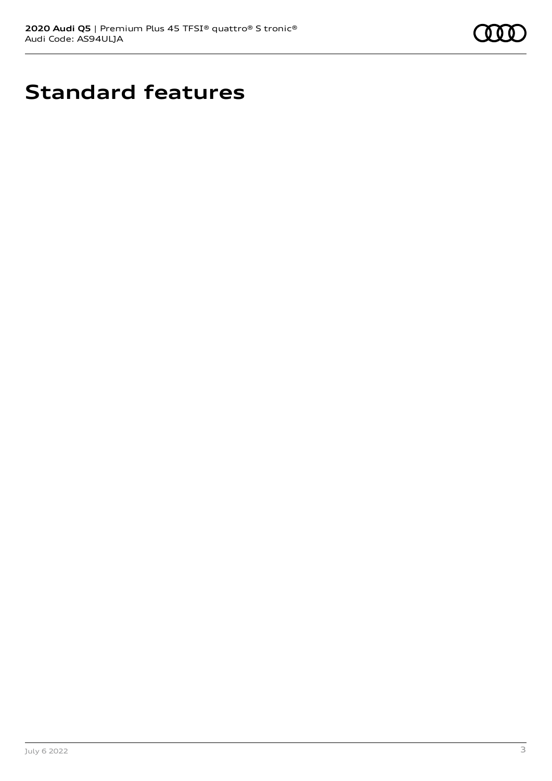

# **Standard features**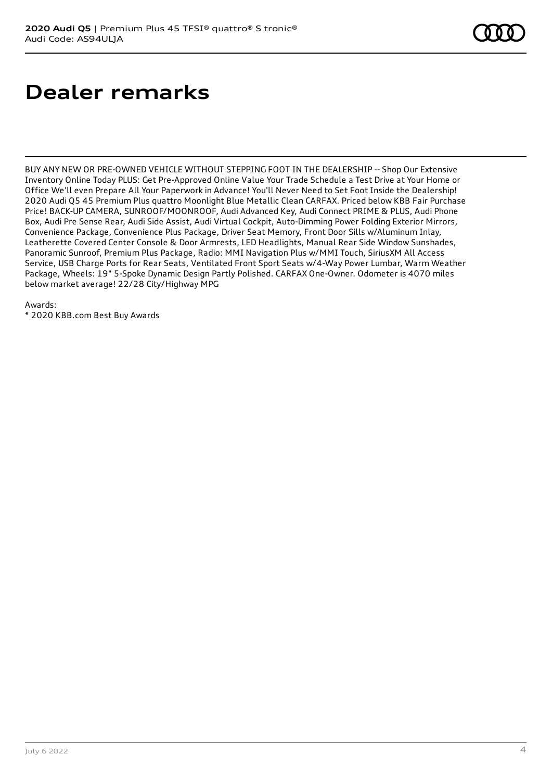# **Dealer remarks**

BUY ANY NEW OR PRE-OWNED VEHICLE WITHOUT STEPPING FOOT IN THE DEALERSHIP -- Shop Our Extensive Inventory Online Today PLUS: Get Pre-Approved Online Value Your Trade Schedule a Test Drive at Your Home or Office We'll even Prepare All Your Paperwork in Advance! You'll Never Need to Set Foot Inside the Dealership! 2020 Audi Q5 45 Premium Plus quattro Moonlight Blue Metallic Clean CARFAX. Priced below KBB Fair Purchase Price! BACK-UP CAMERA, SUNROOF/MOONROOF, Audi Advanced Key, Audi Connect PRIME & PLUS, Audi Phone Box, Audi Pre Sense Rear, Audi Side Assist, Audi Virtual Cockpit, Auto-Dimming Power Folding Exterior Mirrors, Convenience Package, Convenience Plus Package, Driver Seat Memory, Front Door Sills w/Aluminum Inlay, Leatherette Covered Center Console & Door Armrests, LED Headlights, Manual Rear Side Window Sunshades, Panoramic Sunroof, Premium Plus Package, Radio: MMI Navigation Plus w/MMI Touch, SiriusXM All Access Service, USB Charge Ports for Rear Seats, Ventilated Front Sport Seats w/4-Way Power Lumbar, Warm Weather Package, Wheels: 19" 5-Spoke Dynamic Design Partly Polished. CARFAX One-Owner. Odometer is 4070 miles below market average! 22/28 City/Highway MPG

Awards:

\* 2020 KBB.com Best Buy Awards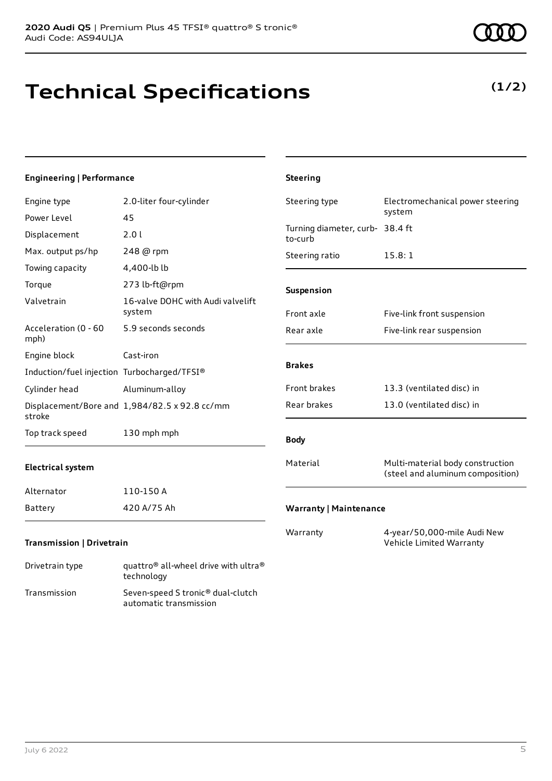# **Technical Specifications**

#### **Engineering | Performance**

| Engine type                                 | 2.0-liter four-cylinder                       | Steering type                              | Electromechanical power steering                                     |
|---------------------------------------------|-----------------------------------------------|--------------------------------------------|----------------------------------------------------------------------|
| Power Level                                 | 45                                            |                                            | system                                                               |
| Displacement                                | 2.0 l                                         | Turning diameter, curb- 38.4 ft<br>to-curb |                                                                      |
| Max. output ps/hp                           | 248 @ rpm                                     | Steering ratio                             | 15.8:1                                                               |
| Towing capacity                             | 4,400-lb lb                                   |                                            |                                                                      |
| Torque                                      | 273 lb-ft@rpm                                 | Suspension                                 |                                                                      |
| Valvetrain                                  | 16-valve DOHC with Audi valvelift<br>system   | Front axle                                 | Five-link front suspension                                           |
| Acceleration (0 - 60<br>mph)                | 5.9 seconds seconds                           | Rear axle                                  | Five-link rear suspension                                            |
| Engine block                                | Cast-iron                                     | <b>Brakes</b>                              |                                                                      |
| Induction/fuel injection Turbocharged/TFSI® |                                               |                                            |                                                                      |
| Cylinder head                               | Aluminum-alloy                                | Front brakes                               | 13.3 (ventilated disc) in                                            |
| stroke                                      | Displacement/Bore and 1,984/82.5 x 92.8 cc/mm | Rear brakes                                | 13.0 (ventilated disc) in                                            |
| Top track speed                             | 130 mph mph                                   | <b>Body</b>                                |                                                                      |
| <b>Electrical system</b>                    |                                               | Material                                   | Multi-material body construction<br>(steel and aluminum composition) |
| Alternator                                  | 110-150 A                                     |                                            |                                                                      |
| Battery                                     | 420 A/75 Ah                                   | <b>Warranty   Maintenance</b>              |                                                                      |
| <b>Transmission   Drivetrain</b>            |                                               | Warranty                                   | 4-year/50,000-mile Audi New<br>Vehicle Limited Warranty              |
|                                             |                                               |                                            |                                                                      |

**Steering**

# Drivetrain type quattro® all-wheel drive with ultra®

technology Transmission Seven-speed S tronic® dual-clutch automatic transmission

### **(1/2)**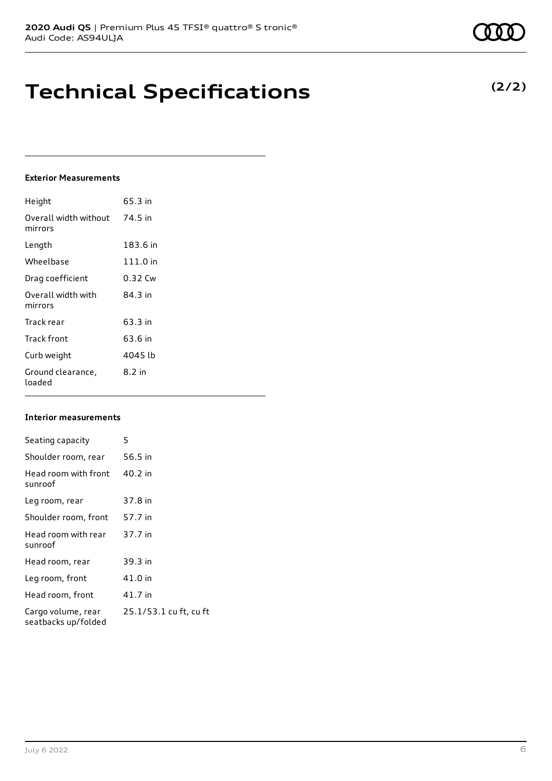# **Technical Specifications**

#### **Exterior Measurements**

| Height                           | 65.3 in    |
|----------------------------------|------------|
| Overall width without<br>mirrors | 74.5 in    |
| Length                           | 183.6 in   |
| Wheelbase                        | $111.0$ in |
| Drag coefficient                 | 0.32 Cw    |
| Overall width with<br>mirrors    | 84.3 in    |
| Track rear                       | 63.3 in    |
| Track front                      | 63.6 in    |
| Curb weight                      | 4045 lb    |
| Ground clearance,<br>loaded      | 8.2 in     |

#### **Interior measurements**

| Seating capacity                          | 5                      |
|-------------------------------------------|------------------------|
| Shoulder room, rear                       | 56.5 in                |
| Head room with front<br>sunroof           | 40.2 in                |
| Leg room, rear                            | 37.8 in                |
| Shoulder room, front                      | 57.7 in                |
| Head room with rear<br>sunroof            | 37.7 in                |
| Head room, rear                           | 39.3 in                |
| Leg room, front                           | 41.0 in                |
| Head room, front                          | 41.7 in                |
| Cargo volume, rear<br>seatbacks up/folded | 25.1/53.1 cu ft, cu ft |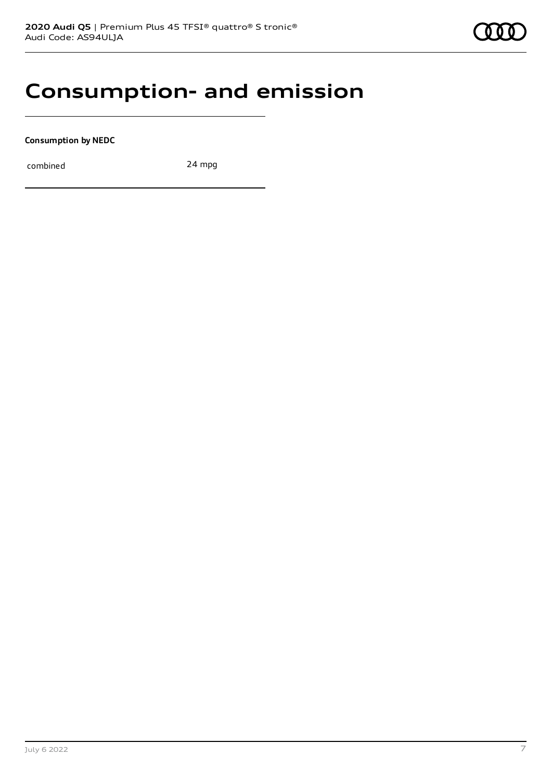### **Consumption- and emission**

**Consumption by NEDC**

combined 24 mpg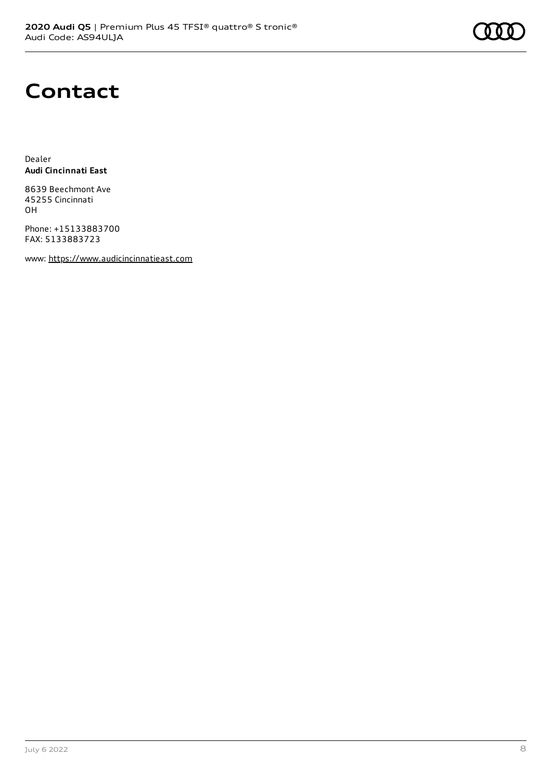### **Contact**

Dealer **Audi Cincinnati East**

8639 Beechmont Ave 45255 Cincinnati OH

Phone: +15133883700 FAX: 5133883723

www: [https://www.audicincinnatieast.com](https://www.audicincinnatieast.com/)